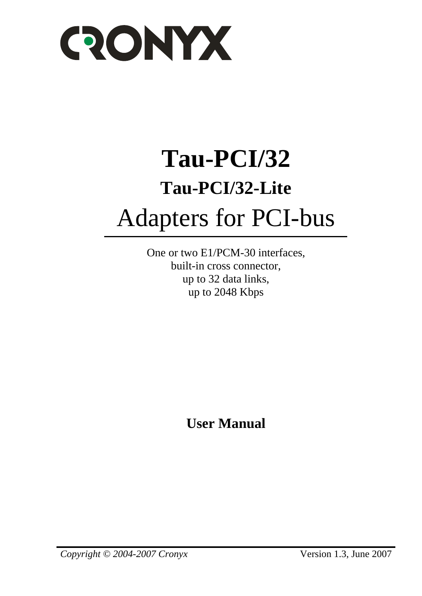

# **Tau-PCI/32 Tau-PCI/32-Lite**  Adapters for PCI-bus

One or two E1/PCM-30 interfaces, built-in cross connector, up to 32 data links, up to 2048 Kbps

**User Manual**

*Copyright © 2004-2007 Cronyx* Version 1.3, June 2007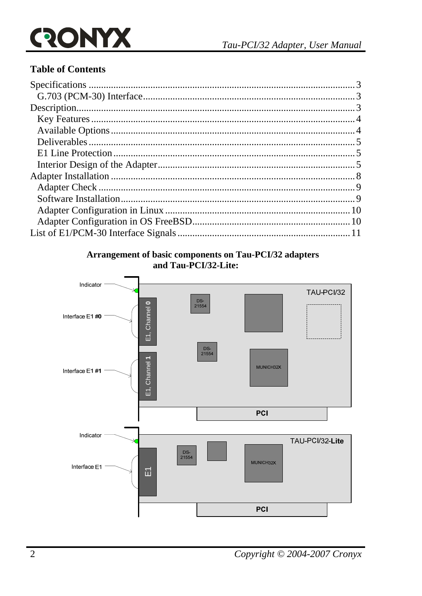## ONYX  $\mathbf{Q}$

### **Table of Contents**

#### Arrangement of basic components on Tau-PCI/32 adapters and Tau-PCI/32-Lite:

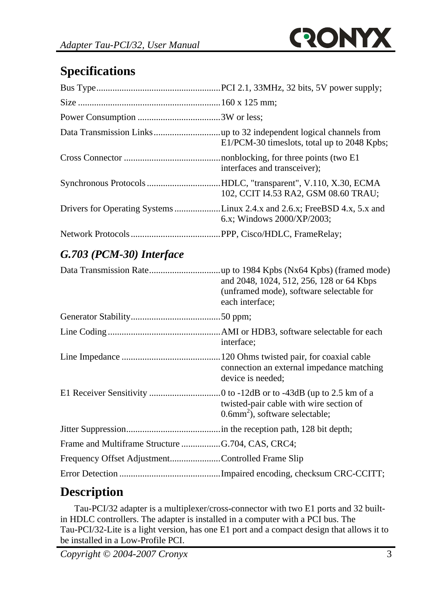

## **Specifications**

| E1/PCM-30 timeslots, total up to 2048 Kpbs;                                                         |
|-----------------------------------------------------------------------------------------------------|
| interfaces and transceiver);                                                                        |
| Synchronous ProtocolsHDLC, "transparent", V.110, X.30, ECMA<br>102, CCIT I4.53 RA2, GSM 08.60 TRAU; |
| 6.x; Windows $2000/XP/2003$ ;                                                                       |
|                                                                                                     |

## *G.703 (PCM-30) Interface*

|                                                  | and 2048, 1024, 512, 256, 128 or 64 Kbps<br>(unframed mode), software selectable for<br>each interface; |
|--------------------------------------------------|---------------------------------------------------------------------------------------------------------|
|                                                  |                                                                                                         |
|                                                  | interface;                                                                                              |
|                                                  | connection an external impedance matching<br>device is needed;                                          |
|                                                  | twisted-pair cable with wire section of<br>$0.6$ mm <sup>2</sup> ), software selectable;                |
|                                                  |                                                                                                         |
|                                                  |                                                                                                         |
| Frequency Offset AdjustmentControlled Frame Slip |                                                                                                         |
|                                                  |                                                                                                         |

# **Description**

Tau-PCI/32 adapter is a multiplexer/cross-connector with two E1 ports and 32 builtin HDLC controllers. The adapter is installed in a computer with a PCI bus. The Tau-PCI/32-Lite is a light version, has one E1 port and a compact design that allows it to be installed in a Low-Profile PCI.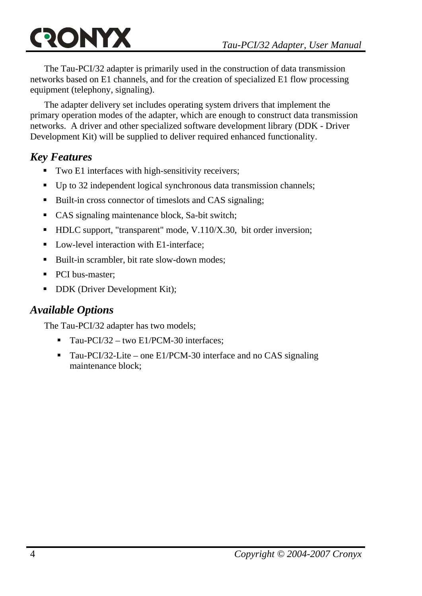The Tau-PCI/32 adapter is primarily used in the construction of data transmission networks based on E1 channels, and for the creation of specialized E1 flow processing equipment (telephony, signaling).

The adapter delivery set includes operating system drivers that implement the primary operation modes of the adapter, which are enough to construct data transmission networks. A driver and other specialized software development library (DDK - Driver Development Kit) will be supplied to deliver required enhanced functionality.

## *Key Features*

- Two E1 interfaces with high-sensitivity receivers;
- Up to 32 independent logical synchronous data transmission channels;
- Built-in cross connector of timeslots and CAS signaling:
- CAS signaling maintenance block, Sa-bit switch;
- HDLC support, "transparent" mode, V.110/X.30, bit order inversion;
- Low-level interaction with E1-interface:
- Built-in scrambler, bit rate slow-down modes:
- PCI bus-master;
- DDK (Driver Development Kit);

## *Available Options*

The Tau-PCI/32 adapter has two models;

- Tau-PCI/32 two E1/PCM-30 interfaces:
- Tau-PCI/32-Lite one E1/PCM-30 interface and no CAS signaling maintenance block;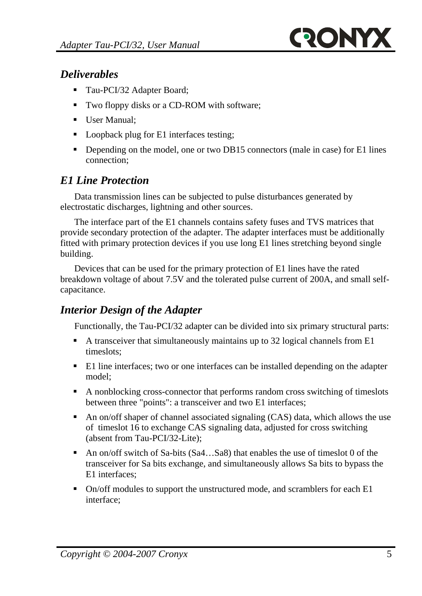

### *Deliverables*

- Tau-PCI/32 Adapter Board;
- Two floppy disks or a CD-ROM with software;
- User Manual;
- Loopback plug for E1 interfaces testing;
- Depending on the model, one or two DB15 connectors (male in case) for E1 lines connection;

### *E1 Line Protection*

Data transmission lines can be subjected to pulse disturbances generated by electrostatic discharges, lightning and other sources.

The interface part of the E1 channels contains safety fuses and TVS matrices that provide secondary protection of the adapter. The adapter interfaces must be additionally fitted with primary protection devices if you use long E1 lines stretching beyond single building.

Devices that can be used for the primary protection of E1 lines have the rated breakdown voltage of about 7.5V and the tolerated pulse current of 200A, and small selfcapacitance.

### *Interior Design of the Adapter*

Functionally, the Tau-PCI/32 adapter can be divided into six primary structural parts:

- A transceiver that simultaneously maintains up to 32 logical channels from E1 timeslots;
- E1 line interfaces; two or one interfaces can be installed depending on the adapter model;
- A nonblocking cross-connector that performs random cross switching of timeslots between three "points": a transceiver and two E1 interfaces;
- An on/off shaper of channel associated signaling (CAS) data, which allows the use of timeslot 16 to exchange CAS signaling data, adjusted for cross switching (absent from Tau-PCI/32-Lite);
- An on/off switch of Sa-bits (Sa4...Sa8) that enables the use of timeslot 0 of the transceiver for Sa bits exchange, and simultaneously allows Sa bits to bypass the E1 interfaces;
- On/off modules to support the unstructured mode, and scramblers for each E1 interface;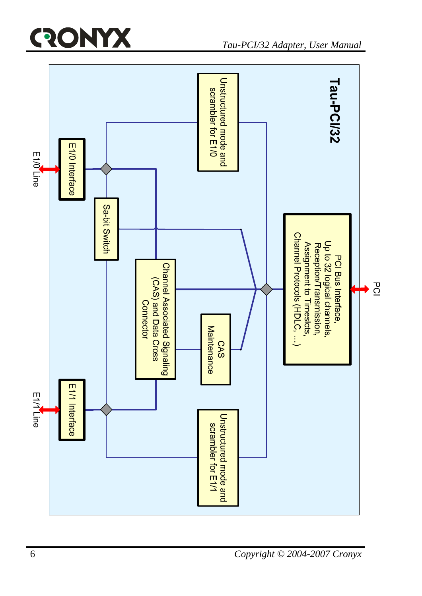# ONYX <u>(२</u>

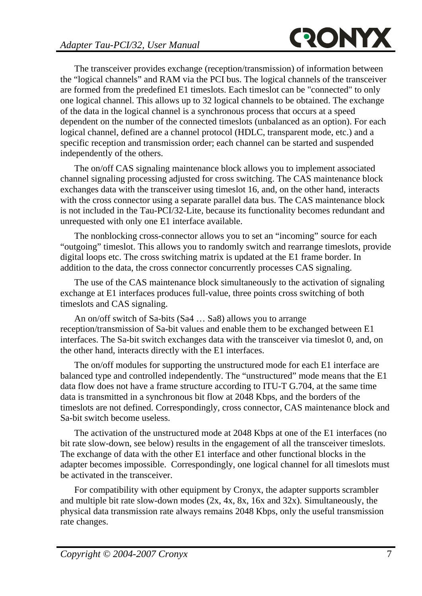The transceiver provides exchange (reception/transmission) of information between the "logical channels" and RAM via the PCI bus. The logical channels of the transceiver are formed from the predefined E1 timeslots. Each timeslot can be "connected" to only one logical channel. This allows up to 32 logical channels to be obtained. The exchange of the data in the logical channel is a synchronous process that occurs at a speed dependent on the number of the connected timeslots (unbalanced as an option). For each logical channel, defined are a channel protocol (HDLC, transparent mode, etc.) and a specific reception and transmission order; each channel can be started and suspended independently of the others.

The on/off CAS signaling maintenance block allows you to implement associated channel signaling processing adjusted for cross switching. The CAS maintenance block exchanges data with the transceiver using timeslot 16, and, on the other hand, interacts with the cross connector using a separate parallel data bus. The CAS maintenance block is not included in the Tau-PCI/32-Lite, because its functionality becomes redundant and unrequested with only one E1 interface available.

The nonblocking cross-connector allows you to set an "incoming" source for each "outgoing" timeslot. This allows you to randomly switch and rearrange timeslots, provide digital loops etc. The cross switching matrix is updated at the E1 frame border. In addition to the data, the cross connector concurrently processes CAS signaling.

The use of the CAS maintenance block simultaneously to the activation of signaling exchange at E1 interfaces produces full-value, three points cross switching of both timeslots and CAS signaling.

An on/off switch of Sa-bits (Sa4 … Sa8) allows you to arrange reception/transmission of Sa-bit values and enable them to be exchanged between E1 interfaces. The Sa-bit switch exchanges data with the transceiver via timeslot 0, and, on the other hand, interacts directly with the E1 interfaces.

The on/off modules for supporting the unstructured mode for each E1 interface are balanced type and controlled independently. The "unstructured" mode means that the E1 data flow does not have a frame structure according to ITU-T G.704, at the same time data is transmitted in a synchronous bit flow at 2048 Kbps, and the borders of the timeslots are not defined. Correspondingly, cross connector, CAS maintenance block and Sa-bit switch become useless.

The activation of the unstructured mode at 2048 Kbps at one of the E1 interfaces (no bit rate slow-down, see below) results in the engagement of all the transceiver timeslots. The exchange of data with the other E1 interface and other functional blocks in the adapter becomes impossible. Correspondingly, one logical channel for all timeslots must be activated in the transceiver.

For compatibility with other equipment by Cronyx, the adapter supports scrambler and multiple bit rate slow-down modes  $(2x, 4x, 8x, 16x, 16x)$  and  $(32x)$ . Simultaneously, the physical data transmission rate always remains 2048 Kbps, only the useful transmission rate changes.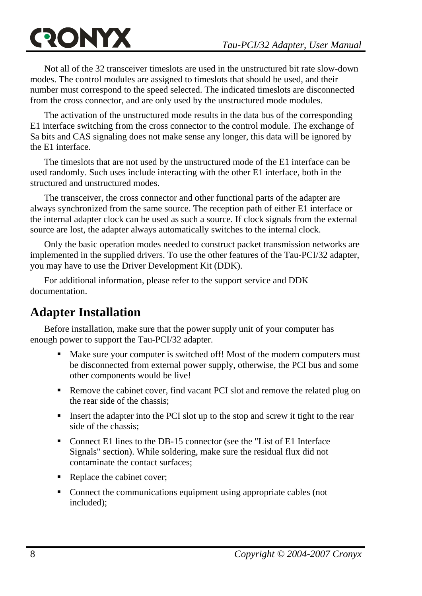# **QONYX**

Not all of the 32 transceiver timeslots are used in the unstructured bit rate slow-down modes. The control modules are assigned to timeslots that should be used, and their number must correspond to the speed selected. The indicated timeslots are disconnected from the cross connector, and are only used by the unstructured mode modules.

The activation of the unstructured mode results in the data bus of the corresponding E1 interface switching from the cross connector to the control module. The exchange of Sa bits and CAS signaling does not make sense any longer, this data will be ignored by the E1 interface.

The timeslots that are not used by the unstructured mode of the E1 interface can be used randomly. Such uses include interacting with the other E1 interface, both in the structured and unstructured modes.

The transceiver, the cross connector and other functional parts of the adapter are always synchronized from the same source. The reception path of either E1 interface or the internal adapter clock can be used as such a source. If clock signals from the external source are lost, the adapter always automatically switches to the internal clock.

Only the basic operation modes needed to construct packet transmission networks are implemented in the supplied drivers. To use the other features of the Tau-PCI/32 adapter, you may have to use the Driver Development Kit (DDK).

For additional information, please refer to the support service and DDK documentation.

## **Adapter Installation**

Before installation, make sure that the power supply unit of your computer has enough power to support the Tau-PCI/32 adapter.

- Make sure your computer is switched off! Most of the modern computers must be disconnected from external power supply, otherwise, the PCI bus and some other components would be live!
- Remove the cabinet cover, find vacant PCI slot and remove the related plug on the rear side of the chassis;
- Insert the adapter into the PCI slot up to the stop and screw it tight to the rear side of the chassis;
- Connect E1 lines to the DB-15 connector (see the "List of E1 Interface Signals" section). While soldering, make sure the residual flux did not contaminate the contact surfaces;
- Replace the cabinet cover;
- Connect the communications equipment using appropriate cables (not included);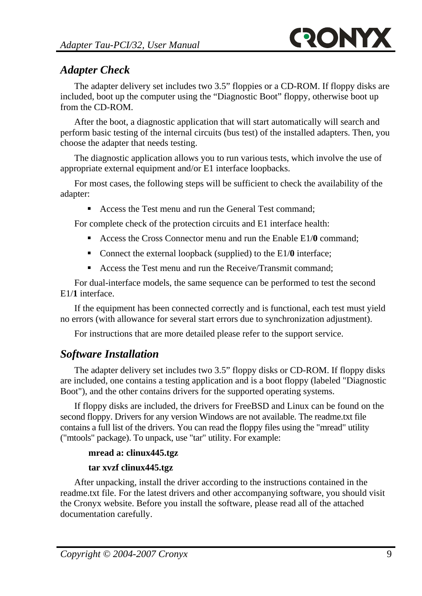### *Adapter Check*

The adapter delivery set includes two 3.5" floppies or a CD-ROM. If floppy disks are included, boot up the computer using the "Diagnostic Boot" floppy, otherwise boot up from the CD-ROM.

After the boot, a diagnostic application that will start automatically will search and perform basic testing of the internal circuits (bus test) of the installed adapters. Then, you choose the adapter that needs testing.

The diagnostic application allows you to run various tests, which involve the use of appropriate external equipment and/or E1 interface loopbacks.

For most cases, the following steps will be sufficient to check the availability of the adapter:

Access the Test menu and run the General Test command:

For complete check of the protection circuits and E1 interface health:

- Access the Cross Connector menu and run the Enable E1/**0** command;
- Connect the external loopback (supplied) to the E1/**0** interface;
- Access the Test menu and run the Receive/Transmit command:

For dual-interface models, the same sequence can be performed to test the second E1/**1** interface.

If the equipment has been connected correctly and is functional, each test must yield no errors (with allowance for several start errors due to synchronization adjustment).

For instructions that are more detailed please refer to the support service.

## *Software Installation*

The adapter delivery set includes two 3.5" floppy disks or CD-ROM. If floppy disks are included, one contains a testing application and is a boot floppy (labeled "Diagnostic Boot"), and the other contains drivers for the supported operating systems.

If floppy disks are included, the drivers for FreeBSD and Linux can be found on the second floppy. Drivers for any version Windows are not available. The readme.txt file contains a full list of the drivers. You can read the floppy files using the "mread" utility ("mtools" package). To unpack, use "tar" utility. For example:

### **mread a: clinux445.tgz**

### **tar xvzf clinux445.tgz**

After unpacking, install the driver according to the instructions contained in the readme.txt file. For the latest drivers and other accompanying software, you should visit the Cronyx website. Before you install the software, please read all of the attached documentation carefully.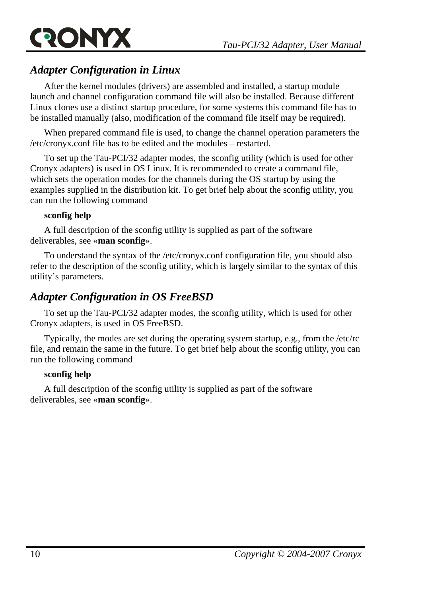

### *Adapter Configuration in Linux*

After the kernel modules (drivers) are assembled and installed, a startup module launch and channel configuration command file will also be installed. Because different Linux clones use a distinct startup procedure, for some systems this command file has to be installed manually (also, modification of the command file itself may be required).

When prepared command file is used, to change the channel operation parameters the /etc/cronyx.conf file has to be edited and the modules – restarted.

To set up the Tau-PCI/32 adapter modes, the sconfig utility (which is used for other Cronyx adapters) is used in OS Linux. It is recommended to create a command file, which sets the operation modes for the channels during the OS startup by using the examples supplied in the distribution kit. To get brief help about the sconfig utility, you can run the following command

### **sconfig help**

A full description of the sconfig utility is supplied as part of the software deliverables, see «**man sconfig**».

To understand the syntax of the /etc/cronyx.conf configuration file, you should also refer to the description of the sconfig utility, which is largely similar to the syntax of this utility's parameters.

### *Adapter Configuration in OS FreeBSD*

To set up the Tau-PCI/32 adapter modes, the sconfig utility, which is used for other Cronyx adapters, is used in OS FreeBSD.

Typically, the modes are set during the operating system startup, e.g., from the /etc/rc file, and remain the same in the future. To get brief help about the sconfig utility, you can run the following command

#### **sconfig help**

A full description of the sconfig utility is supplied as part of the software deliverables, see «**man sconfig**».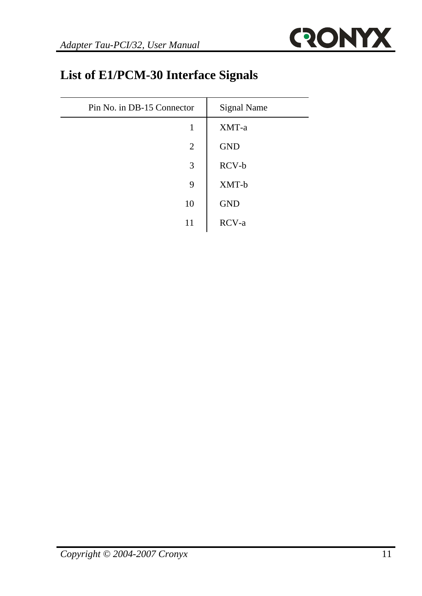

# **List of E1/PCM-30 Interface Signals**

| Pin No. in DB-15 Connector | <b>Signal Name</b> |
|----------------------------|--------------------|
| 1                          | XMT-a              |
| 2                          | <b>GND</b>         |
| 3                          | RCV-b              |
| 9                          | XMT-b              |
| 10                         | <b>GND</b>         |
|                            | RCV-a              |